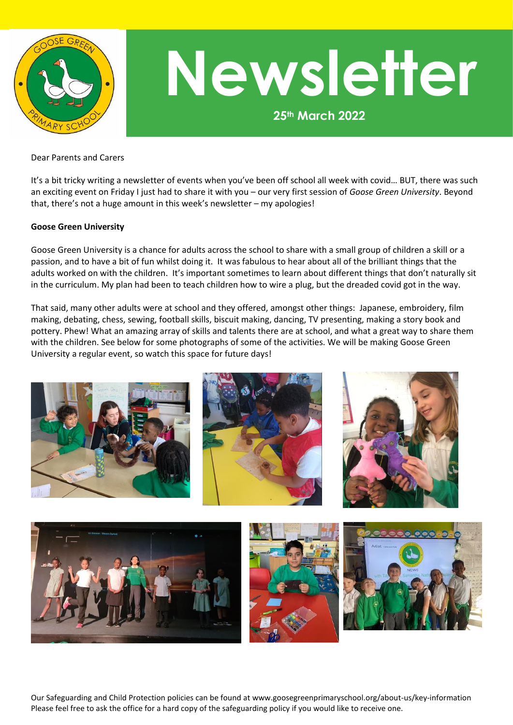

## **Newsletter**

**25th March 2022**

Dear Parents and Carers

It's a bit tricky writing a newsletter of events when you've been off school all week with covid… BUT, there was such an exciting event on Friday I just had to share it with you – our very first session of *Goose Green University*. Beyond that, there's not a huge amount in this week's newsletter – my apologies!

## **Goose Green University**

Goose Green University is a chance for adults across the school to share with a small group of children a skill or a passion, and to have a bit of fun whilst doing it. It was fabulous to hear about all of the brilliant things that the adults worked on with the children. It's important sometimes to learn about different things that don't naturally sit in the curriculum. My plan had been to teach children how to wire a plug, but the dreaded covid got in the way.

That said, many other adults were at school and they offered, amongst other things: Japanese, embroidery, film making, debating, chess, sewing, football skills, biscuit making, dancing, TV presenting, making a story book and pottery. Phew! What an amazing array of skills and talents there are at school, and what a great way to share them with the children. See below for some photographs of some of the activities. We will be making Goose Green University a regular event, so watch this space for future days!



Our Safeguarding and Child Protection policies can be found at www.goosegreenprimaryschool.org/about-us/key-information Please feel free to ask the office for a hard copy of the safeguarding policy if you would like to receive one.